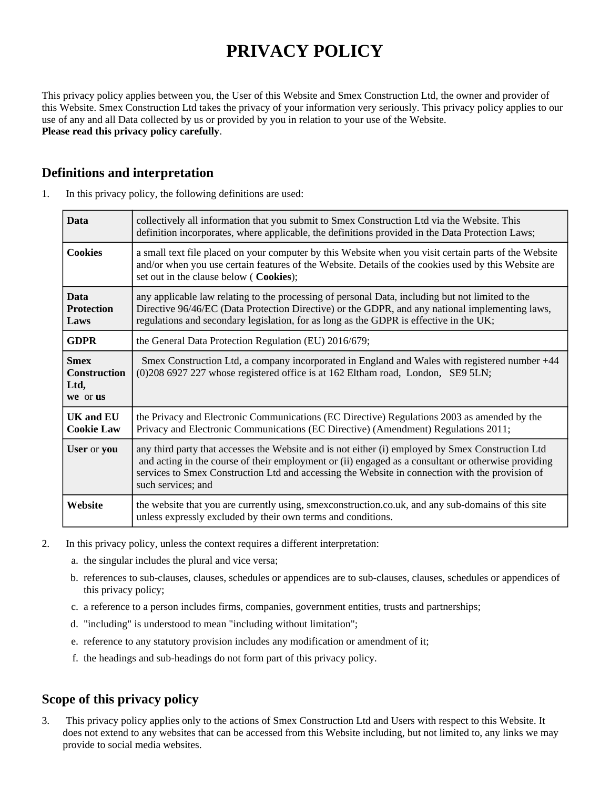# **PRIVACY POLICY**

This privacy policy applies between you, the User of this Website and Smex Construction Ltd, the owner and provider of this Website. Smex Construction Ltd takes the privacy of your information very seriously. This privacy policy applies to our use of any and all Data collected by us or provided by you in relation to your use of the Website. **Please read this privacy policy carefully**.

## **Definitions and interpretation**

| 1. | In this privacy policy, the following definitions are used: |  |  |  |  |
|----|-------------------------------------------------------------|--|--|--|--|
|----|-------------------------------------------------------------|--|--|--|--|

| <b>Data</b>                                            | collectively all information that you submit to Smex Construction Ltd via the Website. This<br>definition incorporates, where applicable, the definitions provided in the Data Protection Laws;                                                                                                                                   |  |
|--------------------------------------------------------|-----------------------------------------------------------------------------------------------------------------------------------------------------------------------------------------------------------------------------------------------------------------------------------------------------------------------------------|--|
| <b>Cookies</b>                                         | a small text file placed on your computer by this Website when you visit certain parts of the Website<br>and/or when you use certain features of the Website. Details of the cookies used by this Website are<br>set out in the clause below (Cookies);                                                                           |  |
| <b>Data</b><br><b>Protection</b><br>Laws               | any applicable law relating to the processing of personal Data, including but not limited to the<br>Directive 96/46/EC (Data Protection Directive) or the GDPR, and any national implementing laws,<br>regulations and secondary legislation, for as long as the GDPR is effective in the UK;                                     |  |
| <b>GDPR</b>                                            | the General Data Protection Regulation (EU) 2016/679;                                                                                                                                                                                                                                                                             |  |
| <b>Smex</b><br><b>Construction</b><br>Ltd,<br>we or us | Smex Construction Ltd, a company incorporated in England and Wales with registered number +44<br>(0)208 6927 227 whose registered office is at 162 Eltham road, London, SE9 5LN;                                                                                                                                                  |  |
| <b>UK and EU</b><br><b>Cookie Law</b>                  | the Privacy and Electronic Communications (EC Directive) Regulations 2003 as amended by the<br>Privacy and Electronic Communications (EC Directive) (Amendment) Regulations 2011;                                                                                                                                                 |  |
| User or you                                            | any third party that accesses the Website and is not either (i) employed by Smex Construction Ltd<br>and acting in the course of their employment or (ii) engaged as a consultant or otherwise providing<br>services to Smex Construction Ltd and accessing the Website in connection with the provision of<br>such services; and |  |
| Website                                                | the website that you are currently using, smexconstruction.co.uk, and any sub-domains of this site<br>unless expressly excluded by their own terms and conditions.                                                                                                                                                                |  |

- 2. In this privacy policy, unless the context requires a different interpretation:
	- a. the singular includes the plural and vice versa;
	- b. references to sub-clauses, clauses, schedules or appendices are to sub-clauses, clauses, schedules or appendices of this privacy policy;
	- c. a reference to a person includes firms, companies, government entities, trusts and partnerships;
	- d. "including" is understood to mean "including without limitation";
	- e. reference to any statutory provision includes any modification or amendment of it;
	- f. the headings and sub-headings do not form part of this privacy policy.

# **Scope of this privacy policy**

3. This privacy policy applies only to the actions of Smex Construction Ltd and Users with respect to this Website. It does not extend to any websites that can be accessed from this Website including, but not limited to, any links we may provide to social media websites.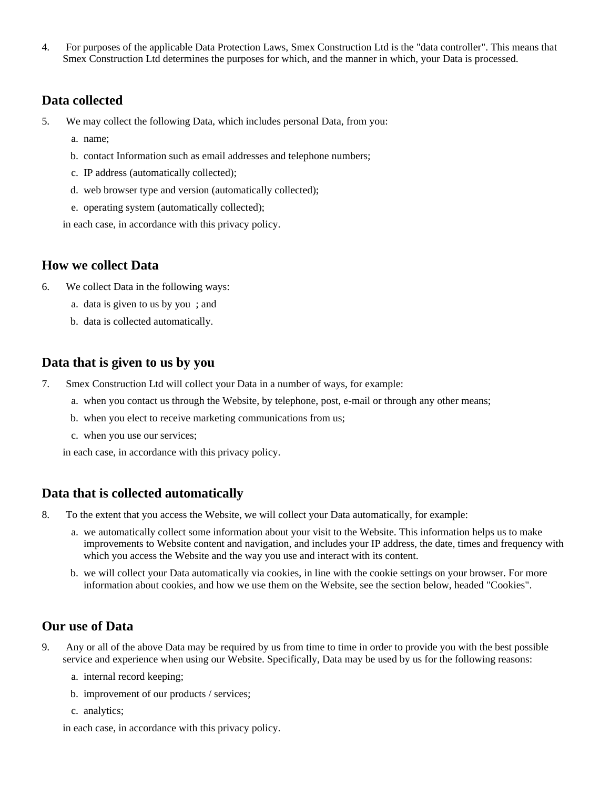4. For purposes of the applicable Data Protection Laws, Smex Construction Ltd is the "data controller". This means that Smex Construction Ltd determines the purposes for which, and the manner in which, your Data is processed.

#### **Data collected**

- 5. We may collect the following Data, which includes personal Data, from you:
	- a. name;
	- b. contact Information such as email addresses and telephone numbers;
	- c. IP address (automatically collected);
	- d. web browser type and version (automatically collected);
	- e. operating system (automatically collected);

in each case, in accordance with this privacy policy.

#### **How we collect Data**

- 6. We collect Data in the following ways:
	- a. data is given to us by you ; and
	- b. data is collected automatically.

#### **Data that is given to us by you**

- 7. Smex Construction Ltd will collect your Data in a number of ways, for example:
	- a. when you contact us through the Website, by telephone, post, e-mail or through any other means;
	- b. when you elect to receive marketing communications from us;
	- c. when you use our services;

in each case, in accordance with this privacy policy.

#### **Data that is collected automatically**

8. To the extent that you access the Website, we will collect your Data automatically, for example:

- a. we automatically collect some information about your visit to the Website. This information helps us to make improvements to Website content and navigation, and includes your IP address, the date, times and frequency with which you access the Website and the way you use and interact with its content.
- b. we will collect your Data automatically via cookies, in line with the cookie settings on your browser. For more information about cookies, and how we use them on the Website, see the section below, headed "Cookies".

## **Our use of Data**

- 9. Any or all of the above Data may be required by us from time to time in order to provide you with the best possible service and experience when using our Website. Specifically, Data may be used by us for the following reasons:
	- a. internal record keeping;
	- b. improvement of our products / services;
	- c. analytics;

in each case, in accordance with this privacy policy.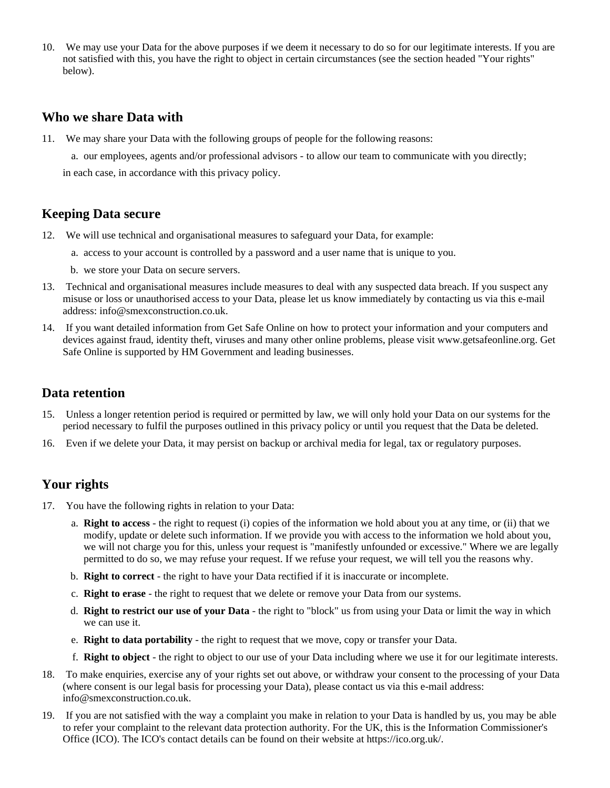10. We may use your Data for the above purposes if we deem it necessary to do so for our legitimate interests. If you are not satisfied with this, you have the right to object in certain circumstances (see the section headed "Your rights" below).

#### **Who we share Data with**

- 11. We may share your Data with the following groups of people for the following reasons:
	- a. our employees, agents and/or professional advisors to allow our team to communicate with you directly;

in each case, in accordance with this privacy policy.

## **Keeping Data secure**

- 12. We will use technical and organisational measures to safeguard your Data, for example:
	- a. access to your account is controlled by a password and a user name that is unique to you.
	- b. we store your Data on secure servers.
- 13. Technical and organisational measures include measures to deal with any suspected data breach. If you suspect any misuse or loss or unauthorised access to your Data, please let us know immediately by contacting us via this e-mail address: info@smexconstruction.co.uk.
- 14. If you want detailed information from Get Safe Online on how to protect your information and your computers and devices against fraud, identity theft, viruses and many other online problems, please visit www.getsafeonline.org. Get Safe Online is supported by HM Government and leading businesses.

#### **Data retention**

- 15. Unless a longer retention period is required or permitted by law, we will only hold your Data on our systems for the period necessary to fulfil the purposes outlined in this privacy policy or until you request that the Data be deleted.
- 16. Even if we delete your Data, it may persist on backup or archival media for legal, tax or regulatory purposes.

# **Your rights**

- 17. You have the following rights in relation to your Data:
	- a. **Right to access** the right to request (i) copies of the information we hold about you at any time, or (ii) that we modify, update or delete such information. If we provide you with access to the information we hold about you, we will not charge you for this, unless your request is "manifestly unfounded or excessive." Where we are legally permitted to do so, we may refuse your request. If we refuse your request, we will tell you the reasons why.
	- b. **Right to correct** the right to have your Data rectified if it is inaccurate or incomplete.
	- c. **Right to erase** the right to request that we delete or remove your Data from our systems.
	- d. **Right to restrict our use of your Data** the right to "block" us from using your Data or limit the way in which we can use it.
	- e. **Right to data portability** the right to request that we move, copy or transfer your Data.
	- f. **Right to object** the right to object to our use of your Data including where we use it for our legitimate interests.
- 18. To make enquiries, exercise any of your rights set out above, or withdraw your consent to the processing of your Data (where consent is our legal basis for processing your Data), please contact us via this e-mail address: info@smexconstruction.co.uk.
- 19. If you are not satisfied with the way a complaint you make in relation to your Data is handled by us, you may be able to refer your complaint to the relevant data protection authority. For the UK, this is the Information Commissioner's Office (ICO). The ICO's contact details can be found on their website at https://ico.org.uk/.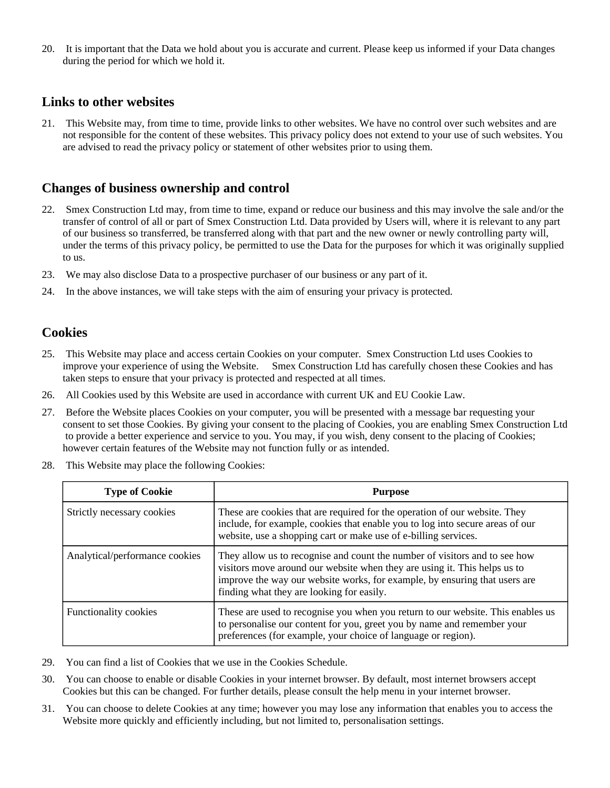20. It is important that the Data we hold about you is accurate and current. Please keep us informed if your Data changes during the period for which we hold it.

#### **Links to other websites**

21. This Website may, from time to time, provide links to other websites. We have no control over such websites and are not responsible for the content of these websites. This privacy policy does not extend to your use of such websites. You are advised to read the privacy policy or statement of other websites prior to using them.

## **Changes of business ownership and control**

- 22. Smex Construction Ltd may, from time to time, expand or reduce our business and this may involve the sale and/or the transfer of control of all or part of Smex Construction Ltd. Data provided by Users will, where it is relevant to any part of our business so transferred, be transferred along with that part and the new owner or newly controlling party will, under the terms of this privacy policy, be permitted to use the Data for the purposes for which it was originally supplied to us.
- 23. We may also disclose Data to a prospective purchaser of our business or any part of it.
- 24. In the above instances, we will take steps with the aim of ensuring your privacy is protected.

## **Cookies**

- 25. This Website may place and access certain Cookies on your computer. Smex Construction Ltd uses Cookies to improve your experience of using the Website. Smex Construction Ltd has carefully chosen these Cookies and has taken steps to ensure that your privacy is protected and respected at all times.
- 26. All Cookies used by this Website are used in accordance with current UK and EU Cookie Law.
- 27. Before the Website places Cookies on your computer, you will be presented with a message bar requesting your consent to set those Cookies. By giving your consent to the placing of Cookies, you are enabling Smex Construction Ltd to provide a better experience and service to you. You may, if you wish, deny consent to the placing of Cookies; however certain features of the Website may not function fully or as intended.
- 28. This Website may place the following Cookies:

| <b>Type of Cookie</b>          | <b>Purpose</b>                                                                                                                                                                                                                                                                     |
|--------------------------------|------------------------------------------------------------------------------------------------------------------------------------------------------------------------------------------------------------------------------------------------------------------------------------|
| Strictly necessary cookies     | These are cookies that are required for the operation of our website. They<br>include, for example, cookies that enable you to log into secure areas of our<br>website, use a shopping cart or make use of e-billing services.                                                     |
| Analytical/performance cookies | They allow us to recognise and count the number of visitors and to see how<br>visitors move around our website when they are using it. This helps us to<br>improve the way our website works, for example, by ensuring that users are<br>finding what they are looking for easily. |
| <b>Functionality cookies</b>   | These are used to recognise you when you return to our website. This enables us<br>to personalise our content for you, greet you by name and remember your<br>preferences (for example, your choice of language or region).                                                        |

- 29. You can find a list of Cookies that we use in the Cookies Schedule.
- 30. You can choose to enable or disable Cookies in your internet browser. By default, most internet browsers accept Cookies but this can be changed. For further details, please consult the help menu in your internet browser.
- 31. You can choose to delete Cookies at any time; however you may lose any information that enables you to access the Website more quickly and efficiently including, but not limited to, personalisation settings.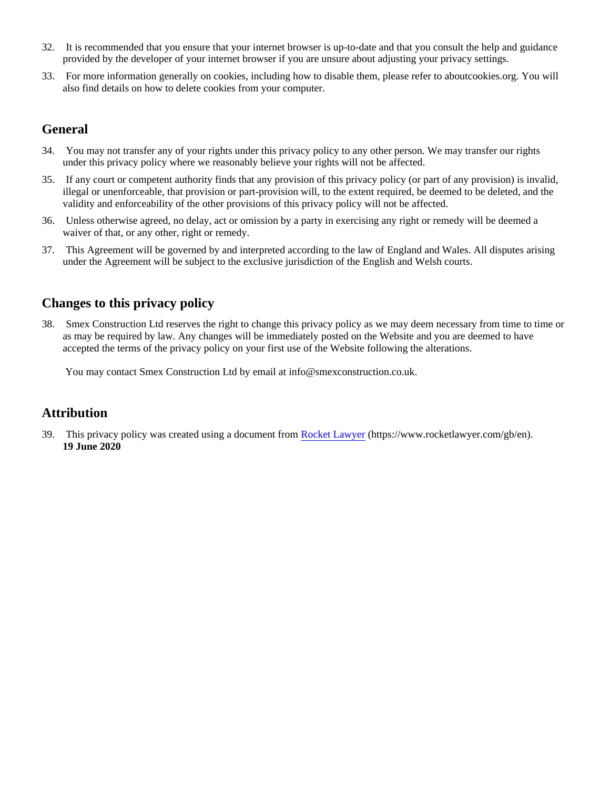- 32. It is recommended that you ensure that your internet browser is up-to-date and that you consult the help and guidance provided by the developer of your internet browser if you are unsure about adjusting your privacy settings.
- 33. For more information generally on cookies, including how to disable them, please refer to aboutcookies.org. You will also find details on how to delete cookies from your computer.

## **General**

- 34. You may not transfer any of your rights under this privacy policy to any other person. We may transfer our rights under this privacy policy where we reasonably believe your rights will not be affected.
- 35. If any court or competent authority finds that any provision of this privacy policy (or part of any provision) is invalid, illegal or unenforceable, that provision or part-provision will, to the extent required, be deemed to be deleted, and the validity and enforceability of the other provisions of this privacy policy will not be affected.
- 36. Unless otherwise agreed, no delay, act or omission by a party in exercising any right or remedy will be deemed a waiver of that, or any other, right or remedy.
- 37. This Agreement will be governed by and interpreted according to the law of England and Wales. All disputes arising under the Agreement will be subject to the exclusive jurisdiction of the English and Welsh courts.

# **Changes to this privacy policy**

38. Smex Construction Ltd reserves the right to change this privacy policy as we may deem necessary from time to time or as may be required by law. Any changes will be immediately posted on the Website and you are deemed to have accepted the terms of the privacy policy on your first use of the Website following the alterations.

You may contact Smex Construction Ltd by email at info@smexconstruction.co.uk.

## **Attribution**

39. This privacy policy was created using a document from [Rocket Lawyer](https://www.rocketlawyer.com/gb/en/) (https://www.rocketlawyer.com/gb/en). **19 June 2020**